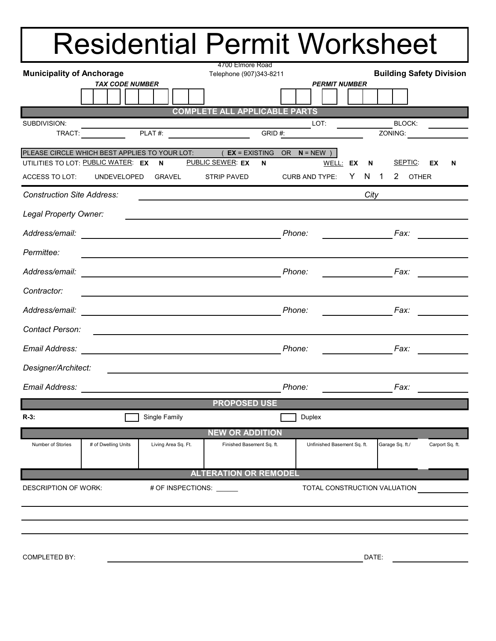## Residential Permit Worksheet

| <b>Municipality of Anchorage</b>                                                                                                    |                                                               | 4700 Elmore Road<br>Telephone (907)343-8211 |  |                                                                                                                                                                                                                                      |  |                              | <b>Building Safety Division</b> |   |      |                                                                                                                                                                                                                                                                                                                                                                                                                                                                                 |                          |                                                   |   |
|-------------------------------------------------------------------------------------------------------------------------------------|---------------------------------------------------------------|---------------------------------------------|--|--------------------------------------------------------------------------------------------------------------------------------------------------------------------------------------------------------------------------------------|--|------------------------------|---------------------------------|---|------|---------------------------------------------------------------------------------------------------------------------------------------------------------------------------------------------------------------------------------------------------------------------------------------------------------------------------------------------------------------------------------------------------------------------------------------------------------------------------------|--------------------------|---------------------------------------------------|---|
|                                                                                                                                     | <b>TAX CODE NUMBER</b>                                        |                                             |  |                                                                                                                                                                                                                                      |  |                              | <b>PERMIT NUMBER</b>            |   |      |                                                                                                                                                                                                                                                                                                                                                                                                                                                                                 |                          |                                                   |   |
|                                                                                                                                     |                                                               |                                             |  |                                                                                                                                                                                                                                      |  |                              |                                 |   |      |                                                                                                                                                                                                                                                                                                                                                                                                                                                                                 |                          |                                                   |   |
|                                                                                                                                     |                                                               |                                             |  | <b>COMPLETE ALL APPLICABLE PARTS</b>                                                                                                                                                                                                 |  |                              |                                 |   |      |                                                                                                                                                                                                                                                                                                                                                                                                                                                                                 |                          |                                                   |   |
| SUBDIVISION:                                                                                                                        | ON: LOT:<br>$TRACT: PLAT #: $                                 |                                             |  |                                                                                                                                                                                                                                      |  |                              |                                 |   |      |                                                                                                                                                                                                                                                                                                                                                                                                                                                                                 | <b>BLOCK:</b><br>ZONING: | $\frac{1}{2}$ and $\frac{1}{2}$ and $\frac{1}{2}$ |   |
|                                                                                                                                     |                                                               |                                             |  |                                                                                                                                                                                                                                      |  |                              |                                 |   |      |                                                                                                                                                                                                                                                                                                                                                                                                                                                                                 |                          |                                                   |   |
| PLEASE CIRCLE WHICH BEST APPLIES TO YOUR LOT: (EX = EXISTING OR N = NEW)<br>UTILITIES TO LOT: PUBLIC WATER: EX N PUBLIC SEWER: EX N |                                                               |                                             |  |                                                                                                                                                                                                                                      |  |                              | WELL: EX N                      |   |      |                                                                                                                                                                                                                                                                                                                                                                                                                                                                                 | SEPTIC:                  | EX                                                | N |
| ACCESS TO LOT: UNDEVELOPED                                                                                                          |                                                               | GRAVEL                                      |  | STRIP PAVED                                                                                                                                                                                                                          |  |                              | <b>CURB AND TYPE:</b>           | Y | N 1  |                                                                                                                                                                                                                                                                                                                                                                                                                                                                                 | 2 OTHER                  |                                                   |   |
| <b>Construction Site Address:</b>                                                                                                   |                                                               |                                             |  |                                                                                                                                                                                                                                      |  |                              |                                 |   | City |                                                                                                                                                                                                                                                                                                                                                                                                                                                                                 |                          |                                                   |   |
| Legal Property Owner:                                                                                                               |                                                               |                                             |  | <u> 1989 - Johann Barn, mars ann an t-Amhain ann an t-Amhain ann an t-Amhain ann an t-Amhain an t-Amhain ann an t-</u>                                                                                                               |  |                              |                                 |   |      |                                                                                                                                                                                                                                                                                                                                                                                                                                                                                 |                          |                                                   |   |
| Address/email: Phone:                                                                                                               |                                                               |                                             |  |                                                                                                                                                                                                                                      |  |                              |                                 |   |      |                                                                                                                                                                                                                                                                                                                                                                                                                                                                                 |                          |                                                   |   |
| Permittee:                                                                                                                          |                                                               |                                             |  | and the control of the control of the control of the control of the control of the control of the control of the                                                                                                                     |  |                              |                                 |   |      |                                                                                                                                                                                                                                                                                                                                                                                                                                                                                 |                          |                                                   |   |
| Address/email:                                                                                                                      |                                                               |                                             |  |                                                                                                                                                                                                                                      |  | Phone:                       |                                 |   |      | $\overline{\phantom{a}}$ $\overline{\phantom{a}}$ $\overline{\phantom{a}}$ $\overline{\phantom{a}}$ $\overline{\phantom{a}}$ $\overline{\phantom{a}}$ $\overline{\phantom{a}}$ $\overline{\phantom{a}}$ $\overline{\phantom{a}}$ $\overline{\phantom{a}}$ $\overline{\phantom{a}}$ $\overline{\phantom{a}}$ $\overline{\phantom{a}}$ $\overline{\phantom{a}}$ $\overline{\phantom{a}}$ $\overline{\phantom{a}}$ $\overline{\phantom{a}}$ $\overline{\phantom{a}}$ $\overline{\$ |                          |                                                   |   |
| Contractor:                                                                                                                         |                                                               |                                             |  |                                                                                                                                                                                                                                      |  |                              |                                 |   |      |                                                                                                                                                                                                                                                                                                                                                                                                                                                                                 |                          |                                                   |   |
| Address/email:                                                                                                                      | <u> 1980 - Johann Barn, mars an t-Amerikaansk politiker (</u> |                                             |  |                                                                                                                                                                                                                                      |  | Phone:                       |                                 |   |      | Fax:                                                                                                                                                                                                                                                                                                                                                                                                                                                                            |                          |                                                   |   |
| Contact Person:                                                                                                                     |                                                               |                                             |  | <u> Andreas Andreas Andreas Andreas Andreas Andreas Andreas Andreas Andreas Andreas Andreas Andreas Andreas Andreas Andreas Andreas Andreas Andreas Andreas Andreas Andreas Andreas Andreas Andreas Andreas Andreas Andreas Andr</u> |  |                              |                                 |   |      |                                                                                                                                                                                                                                                                                                                                                                                                                                                                                 |                          |                                                   |   |
|                                                                                                                                     |                                                               |                                             |  |                                                                                                                                                                                                                                      |  | Phone:                       |                                 |   |      | Fax:                                                                                                                                                                                                                                                                                                                                                                                                                                                                            |                          |                                                   |   |
| Designer/Architect:                                                                                                                 |                                                               |                                             |  | <u> 1989 - John Stone, Amerikaansk politiker (</u>                                                                                                                                                                                   |  |                              |                                 |   |      |                                                                                                                                                                                                                                                                                                                                                                                                                                                                                 |                          |                                                   |   |
|                                                                                                                                     |                                                               |                                             |  |                                                                                                                                                                                                                                      |  | Phone:                       |                                 |   |      | Fax:                                                                                                                                                                                                                                                                                                                                                                                                                                                                            |                          |                                                   |   |
|                                                                                                                                     |                                                               |                                             |  | <b>PROPOSED USE</b>                                                                                                                                                                                                                  |  |                              |                                 |   |      |                                                                                                                                                                                                                                                                                                                                                                                                                                                                                 |                          |                                                   |   |
| $R-3$ :                                                                                                                             |                                                               | Single Family                               |  |                                                                                                                                                                                                                                      |  |                              | Duplex                          |   |      |                                                                                                                                                                                                                                                                                                                                                                                                                                                                                 |                          |                                                   |   |
|                                                                                                                                     |                                                               |                                             |  | <b>NEW OR ADDITION</b>                                                                                                                                                                                                               |  |                              |                                 |   |      |                                                                                                                                                                                                                                                                                                                                                                                                                                                                                 |                          |                                                   |   |
| Number of Stories                                                                                                                   | # of Dwelling Units                                           | Living Area Sq. Ft.                         |  | Finished Basement Sq. ft.                                                                                                                                                                                                            |  |                              | Unfinished Basement Sq. ft.     |   |      | Garage Sq. ft./                                                                                                                                                                                                                                                                                                                                                                                                                                                                 |                          | Carport Sq. ft.                                   |   |
|                                                                                                                                     |                                                               |                                             |  | <b>ALTERATION OR REMODEL</b>                                                                                                                                                                                                         |  |                              |                                 |   |      |                                                                                                                                                                                                                                                                                                                                                                                                                                                                                 |                          |                                                   |   |
| <b>DESCRIPTION OF WORK:</b><br># OF INSPECTIONS:                                                                                    |                                                               |                                             |  |                                                                                                                                                                                                                                      |  | TOTAL CONSTRUCTION VALUATION |                                 |   |      |                                                                                                                                                                                                                                                                                                                                                                                                                                                                                 |                          |                                                   |   |
|                                                                                                                                     |                                                               |                                             |  |                                                                                                                                                                                                                                      |  |                              |                                 |   |      |                                                                                                                                                                                                                                                                                                                                                                                                                                                                                 |                          |                                                   |   |
|                                                                                                                                     |                                                               |                                             |  |                                                                                                                                                                                                                                      |  |                              |                                 |   |      |                                                                                                                                                                                                                                                                                                                                                                                                                                                                                 |                          |                                                   |   |
|                                                                                                                                     |                                                               |                                             |  |                                                                                                                                                                                                                                      |  |                              |                                 |   |      |                                                                                                                                                                                                                                                                                                                                                                                                                                                                                 |                          |                                                   |   |
| <b>COMPLETED BY:</b>                                                                                                                |                                                               |                                             |  |                                                                                                                                                                                                                                      |  | DATE:                        |                                 |   |      |                                                                                                                                                                                                                                                                                                                                                                                                                                                                                 |                          |                                                   |   |